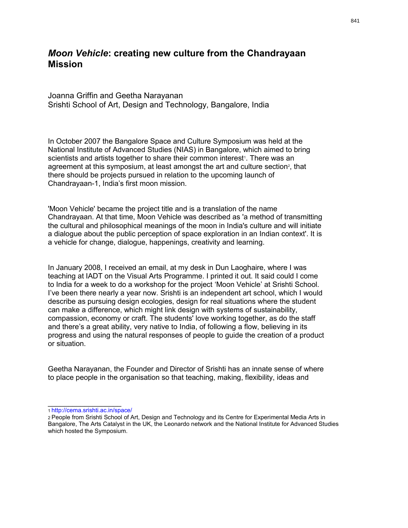# *Moon Vehicle***: creating new culture from the Chandrayaan Mission**

Joanna Griffin and Geetha Narayanan Srishti School of Art, Design and Technology, Bangalore, India

In October 2007 the Bangalore Space and Culture Symposium was held at the National Institute of Advanced Studies (NIAS) in Bangalore, which aimed to bring scientists and artists together to share their common interest<sup>1</sup>. There was an agreement at this symposium, at least amongst the art and culture section<sup>2</sup>, that there should be projects pursued in relation to the upcoming launch of Chandrayaan-1, India's first moon mission.

'Moon Vehicle' became the project title and is a translation of the name Chandrayaan. At that time, Moon Vehicle was described as 'a method of transmitting the cultural and philosophical meanings of the moon in India's culture and will initiate a dialogue about the public perception of space exploration in an Indian context'. It is a vehicle for change, dialogue, happenings, creativity and learning.

In January 2008, I received an email, at my desk in Dun Laoghaire, where I was teaching at IADT on the Visual Arts Programme. I printed it out. It said could I come to India for a week to do a workshop for the project 'Moon Vehicle' at Srishti School. I've been there nearly a year now. Srishti is an independent art school, which I would describe as pursuing design ecologies, design for real situations where the student can make a difference, which might link design with systems of sustainability, compassion, economy or craft. The students' love working together, as do the staff and there's a great ability, very native to India, of following a flow, believing in its progress and using the natural responses of people to guide the creation of a product or situation.

Geetha Narayanan, the Founder and Director of Srishti has an innate sense of where to place people in the organisation so that teaching, making, flexibility, ideas and

 $\overline{\phantom{a}}$  ,  $\overline{\phantom{a}}$  ,  $\overline{\phantom{a}}$  ,  $\overline{\phantom{a}}$  ,  $\overline{\phantom{a}}$  ,  $\overline{\phantom{a}}$  ,  $\overline{\phantom{a}}$  ,  $\overline{\phantom{a}}$  ,  $\overline{\phantom{a}}$  ,  $\overline{\phantom{a}}$  ,  $\overline{\phantom{a}}$  ,  $\overline{\phantom{a}}$  ,  $\overline{\phantom{a}}$  ,  $\overline{\phantom{a}}$  ,  $\overline{\phantom{a}}$  ,  $\overline{\phantom{a}}$ 

<sup>1</sup> http://cema.srishti.ac.in/space/

<sup>2</sup> People from Srishti School of Art, Design and Technology and its Centre for Experimental Media Arts in Bangalore, The Arts Catalyst in the UK, the Leonardo network and the National Institute for Advanced Studies which hosted the Symposium.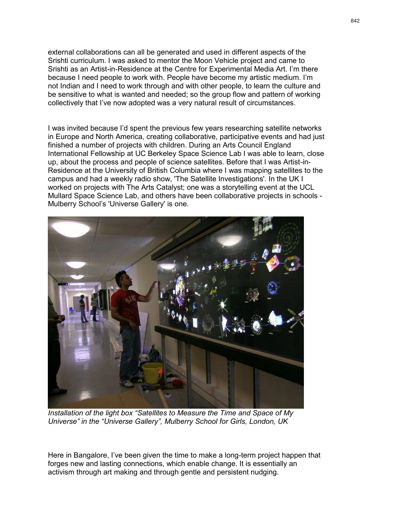external collaborations can all be generated and used in different aspects of the Srishti curriculum. I was asked to mentor the Moon Vehicle project and came to Srishti as an Artist-in-Residence at the Centre for Experimental Media Art. I'm there because I need people to work with. People have become my artistic medium. I'm not Indian and I need to work through and with other people, to learn the culture and be sensitive to what is wanted and needed; so the group flow and pattern of working collectively that I've now adopted was a very natural result of circumstances.

I was invited because I'd spent the previous few years researching satellite networks in Europe and North America, creating collaborative, participative events and had just finished a number of projects with children. During an Arts Council England International Fellowship at UC Berkeley Space Science Lab I was able to learn, close up, about the process and people of science satellites. Before that I was Artist-in-Residence at the University of British Columbia where I was mapping satellites to the campus and had a weekly radio show, 'The Satellite Investigations'. In the UK I worked on projects with The Arts Catalyst; one was a storytelling event at the UCL Mullard Space Science Lab, and others have been collaborative projects in schools - Mulberry School's 'Universe Gallery' is one.



*Installation of the light box "Satellites to Measure the Time and Space of My Universe" in the "Universe Gallery", Mulberry School for Girls, London, UK* 

Here in Bangalore, I've been given the time to make a long-term project happen that forges new and lasting connections, which enable change. It is essentially an activism through art making and through gentle and persistent nudging.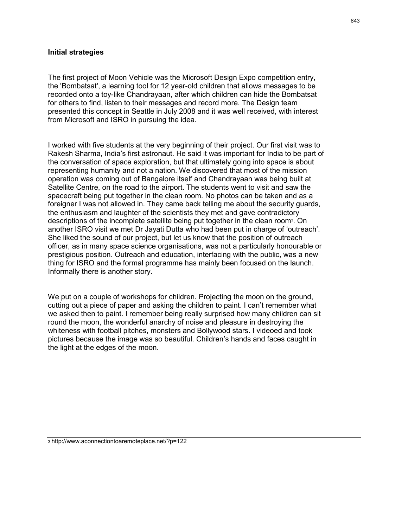### **Initial strategies**

The first project of Moon Vehicle was the Microsoft Design Expo competition entry, the 'Bombatsat', a learning tool for 12 year-old children that allows messages to be recorded onto a toy-like Chandrayaan, after which children can hide the Bombatsat for others to find, listen to their messages and record more. The Design team presented this concept in Seattle in July 2008 and it was well received, with interest from Microsoft and ISRO in pursuing the idea.

I worked with five students at the very beginning of their project. Our first visit was to Rakesh Sharma, India's first astronaut. He said it was important for India to be part of the conversation of space exploration, but that ultimately going into space is about representing humanity and not a nation. We discovered that most of the mission operation was coming out of Bangalore itself and Chandrayaan was being built at Satellite Centre, on the road to the airport. The students went to visit and saw the spacecraft being put together in the clean room. No photos can be taken and as a foreigner I was not allowed in. They came back telling me about the security guards, the enthusiasm and laughter of the scientists they met and gave contradictory descriptions of the incomplete satellite being put together in the clean room<sup>3</sup>. On another ISRO visit we met Dr Jayati Dutta who had been put in charge of 'outreach'. She liked the sound of our project, but let us know that the position of outreach officer, as in many space science organisations, was not a particularly honourable or prestigious position. Outreach and education, interfacing with the public, was a new thing for ISRO and the formal programme has mainly been focused on the launch. Informally there is another story.

We put on a couple of workshops for children. Projecting the moon on the ground, cutting out a piece of paper and asking the children to paint. I can't remember what we asked then to paint. I remember being really surprised how many children can sit round the moon, the wonderful anarchy of noise and pleasure in destroying the whiteness with football pitches, monsters and Bollywood stars. I videoed and took pictures because the image was so beautiful. Children's hands and faces caught in the light at the edges of the moon.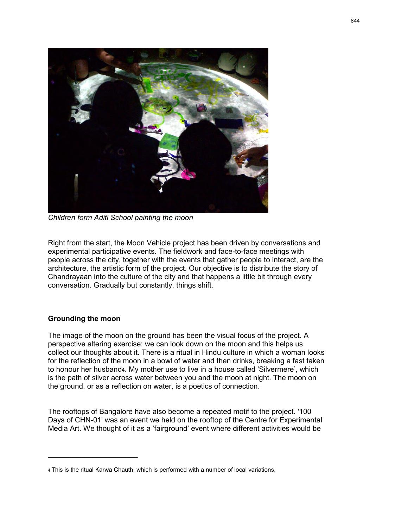

*Children form Aditi School painting the moon* 

Right from the start, the Moon Vehicle project has been driven by conversations and experimental participative events. The fieldwork and face-to-face meetings with people across the city, together with the events that gather people to interact, are the architecture, the artistic form of the project. Our objective is to distribute the story of Chandrayaan into the culture of the city and that happens a little bit through every conversation. Gradually but constantly, things shift.

## **Grounding the moon**

 $\overline{\phantom{a}}$  , where  $\overline{\phantom{a}}$  , where  $\overline{\phantom{a}}$ 

The image of the moon on the ground has been the visual focus of the project. A perspective altering exercise: we can look down on the moon and this helps us collect our thoughts about it. There is a ritual in Hindu culture in which a woman looks for the reflection of the moon in a bowl of water and then drinks, breaking a fast taken to honour her husband4. My mother use to live in a house called 'Silvermere', which is the path of silver across water between you and the moon at night. The moon on the ground, or as a reflection on water, is a poetics of connection.

The rooftops of Bangalore have also become a repeated motif to the project. '100 Days of CHN-01' was an event we held on the rooftop of the Centre for Experimental Media Art. We thought of it as a 'fairground' event where different activities would be

<sup>4</sup> This is the ritual Karwa Chauth, which is performed with a number of local variations.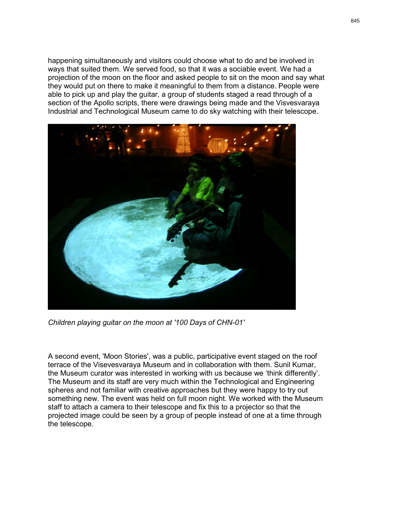happening simultaneously and visitors could choose what to do and be involved in ways that suited them. We served food, so that it was a sociable event. We had a projection of the moon on the floor and asked people to sit on the moon and say what they would put on there to make it meaningful to them from a distance. People were able to pick up and play the guitar, a group of students staged a read through of a section of the Apollo scripts, there were drawings being made and the Visvesvaraya Industrial and Technological Museum came to do sky watching with their telescope.



*Children playing guitar on the moon at '100 Days of CHN-01'*

A second event, 'Moon Stories', was a public, participative event staged on the roof terrace of the Visevesvaraya Museum and in collaboration with them. Sunil Kumar, the Museum curator was interested in working with us because we 'think differently'. The Museum and its staff are very much within the Technological and Engineering spheres and not familiar with creative approaches but they were happy to try out something new. The event was held on full moon night. We worked with the Museum staff to attach a camera to their telescope and fix this to a projector so that the projected image could be seen by a group of people instead of one at a time through the telescope.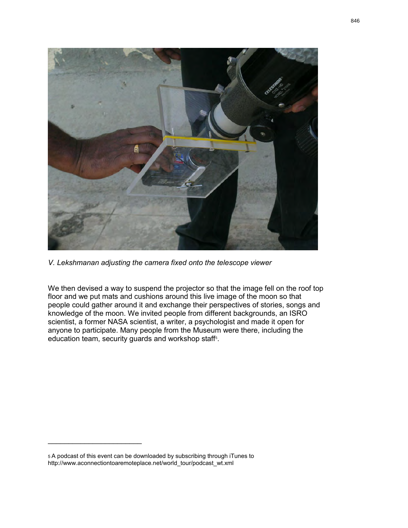

*V. Lekshmanan adjusting the camera fixed onto the telescope viewer* 

We then devised a way to suspend the projector so that the image fell on the roof top floor and we put mats and cushions around this live image of the moon so that people could gather around it and exchange their perspectives of stories, songs and knowledge of the moon. We invited people from different backgrounds, an ISRO scientist, a former NASA scientist, a writer, a psychologist and made it open for anyone to participate. Many people from the Museum were there, including the education team, security guards and workshop staff<sup>s</sup>.

 $\overline{\phantom{a}}$  , where  $\overline{\phantom{a}}$  , where  $\overline{\phantom{a}}$  , where  $\overline{\phantom{a}}$ 

<sup>5</sup> A podcast of this event can be downloaded by subscribing through iTunes to http://www.aconnectiontoaremoteplace.net/world\_tour/podcast\_wt.xml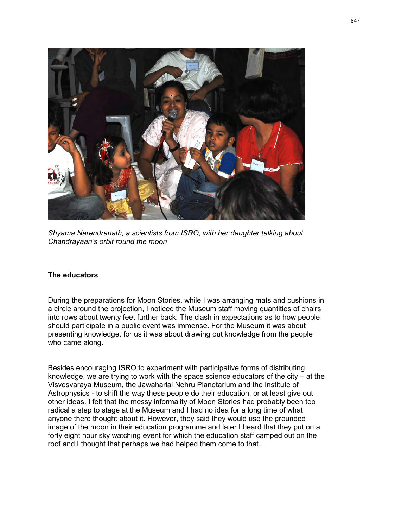

*Shyama Narendranath, a scientists from ISRO, with her daughter talking about Chandrayaan's orbit round the moon* 

#### **The educators**

During the preparations for Moon Stories, while I was arranging mats and cushions in a circle around the projection, I noticed the Museum staff moving quantities of chairs into rows about twenty feet further back. The clash in expectations as to how people should participate in a public event was immense. For the Museum it was about presenting knowledge, for us it was about drawing out knowledge from the people who came along.

Besides encouraging ISRO to experiment with participative forms of distributing knowledge, we are trying to work with the space science educators of the city – at the Visvesvaraya Museum, the Jawaharlal Nehru Planetarium and the Institute of Astrophysics - to shift the way these people do their education, or at least give out other ideas. I felt that the messy informality of Moon Stories had probably been too radical a step to stage at the Museum and I had no idea for a long time of what anyone there thought about it. However, they said they would use the grounded image of the moon in their education programme and later I heard that they put on a forty eight hour sky watching event for which the education staff camped out on the roof and I thought that perhaps we had helped them come to that.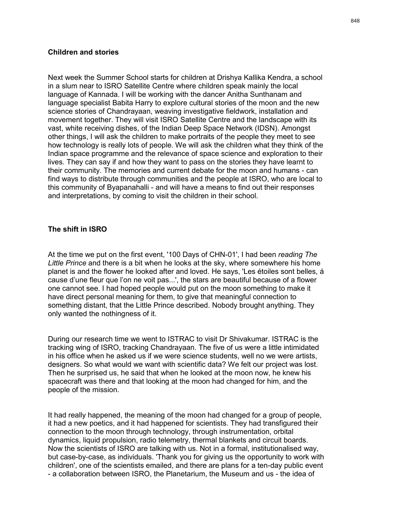#### **Children and stories**

Next week the Summer School starts for children at Drishya Kallika Kendra, a school in a slum near to ISRO Satellite Centre where children speak mainly the local language of Kannada. I will be working with the dancer Anitha Sunthanam and language specialist Babita Harry to explore cultural stories of the moon and the new science stories of Chandrayaan, weaving investigative fieldwork, installation and movement together. They will visit ISRO Satellite Centre and the landscape with its vast, white receiving dishes, of the Indian Deep Space Network (IDSN). Amongst other things, I will ask the children to make portraits of the people they meet to see how technology is really lots of people. We will ask the children what they think of the Indian space programme and the relevance of space science and exploration to their lives. They can say if and how they want to pass on the stories they have learnt to their community. The memories and current debate for the moon and humans - can find ways to distribute through communities and the people at ISRO, who are local to this community of Byapanahalli - and will have a means to find out their responses and interpretations, by coming to visit the children in their school.

#### **The shift in ISRO**

At the time we put on the first event, '100 Days of CHN-01', I had been *reading The Little Prince* and there is a bit when he looks at the sky, where somewhere his home planet is and the flower he looked after and loved. He says, 'Les étoiles sont belles, á cause d'une fleur que l'on ne voit pas...', the stars are beautiful because of a flower one cannot see. I had hoped people would put on the moon something to make it have direct personal meaning for them, to give that meaningful connection to something distant, that the Little Prince described. Nobody brought anything. They only wanted the nothingness of it.

During our research time we went to ISTRAC to visit Dr Shivakumar. ISTRAC is the tracking wing of ISRO, tracking Chandrayaan. The five of us were a little intimidated in his office when he asked us if we were science students, well no we were artists, designers. So what would we want with scientific data? We felt our project was lost. Then he surprised us, he said that when he looked at the moon now, he knew his spacecraft was there and that looking at the moon had changed for him, and the people of the mission.

It had really happened, the meaning of the moon had changed for a group of people, it had a new poetics, and it had happened for scientists. They had transfigured their connection to the moon through technology, through instrumentation, orbital dynamics, liquid propulsion, radio telemetry, thermal blankets and circuit boards. Now the scientists of ISRO are talking with us. Not in a formal, institutionalised way, but case-by-case, as individuals. 'Thank you for giving us the opportunity to work with children', one of the scientists emailed, and there are plans for a ten-day public event - a collaboration between ISRO, the Planetarium, the Museum and us - the idea of